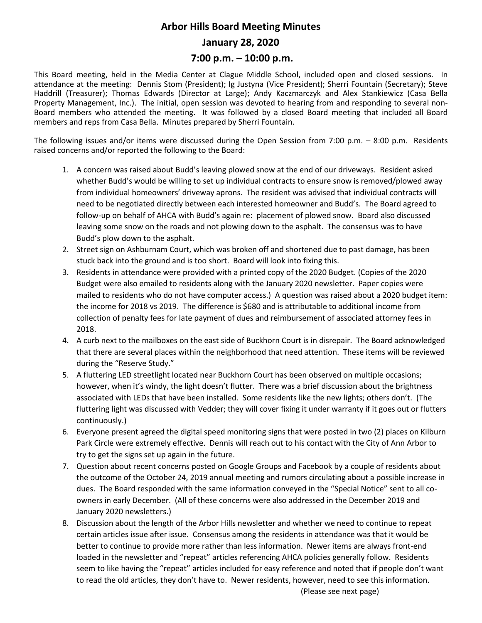## **Arbor Hills Board Meeting Minutes January 28, 2020**

## **7:00 p.m. – 10:00 p.m.**

This Board meeting, held in the Media Center at Clague Middle School, included open and closed sessions. In attendance at the meeting: Dennis Stom (President); Ig Justyna (Vice President); Sherri Fountain (Secretary); Steve Haddrill (Treasurer); Thomas Edwards (Director at Large); Andy Kaczmarczyk and Alex Stankiewicz (Casa Bella Property Management, Inc.). The initial, open session was devoted to hearing from and responding to several non-Board members who attended the meeting. It was followed by a closed Board meeting that included all Board members and reps from Casa Bella. Minutes prepared by Sherri Fountain.

The following issues and/or items were discussed during the Open Session from 7:00 p.m. – 8:00 p.m. Residents raised concerns and/or reported the following to the Board:

- 1. A concern was raised about Budd's leaving plowed snow at the end of our driveways. Resident asked whether Budd's would be willing to set up individual contracts to ensure snow is removed/plowed away from individual homeowners' driveway aprons. The resident was advised that individual contracts will need to be negotiated directly between each interested homeowner and Budd's. The Board agreed to follow-up on behalf of AHCA with Budd's again re: placement of plowed snow. Board also discussed leaving some snow on the roads and not plowing down to the asphalt. The consensus was to have Budd's plow down to the asphalt.
- 2. Street sign on Ashburnam Court, which was broken off and shortened due to past damage, has been stuck back into the ground and is too short. Board will look into fixing this.
- 3. Residents in attendance were provided with a printed copy of the 2020 Budget. (Copies of the 2020 Budget were also emailed to residents along with the January 2020 newsletter. Paper copies were mailed to residents who do not have computer access.) A question was raised about a 2020 budget item: the income for 2018 vs 2019. The difference is \$680 and is attributable to additional income from collection of penalty fees for late payment of dues and reimbursement of associated attorney fees in 2018.
- 4. A curb next to the mailboxes on the east side of Buckhorn Court is in disrepair. The Board acknowledged that there are several places within the neighborhood that need attention. These items will be reviewed during the "Reserve Study."
- 5. A fluttering LED streetlight located near Buckhorn Court has been observed on multiple occasions; however, when it's windy, the light doesn't flutter. There was a brief discussion about the brightness associated with LEDs that have been installed. Some residents like the new lights; others don't. (The fluttering light was discussed with Vedder; they will cover fixing it under warranty if it goes out or flutters continuously.)
- 6. Everyone present agreed the digital speed monitoring signs that were posted in two (2) places on Kilburn Park Circle were extremely effective. Dennis will reach out to his contact with the City of Ann Arbor to try to get the signs set up again in the future.
- 7. Question about recent concerns posted on Google Groups and Facebook by a couple of residents about the outcome of the October 24, 2019 annual meeting and rumors circulating about a possible increase in dues. The Board responded with the same information conveyed in the "Special Notice" sent to all coowners in early December. (All of these concerns were also addressed in the December 2019 and January 2020 newsletters.)
- 8. Discussion about the length of the Arbor Hills newsletter and whether we need to continue to repeat certain articles issue after issue. Consensus among the residents in attendance was that it would be better to continue to provide more rather than less information. Newer items are always front-end loaded in the newsletter and "repeat" articles referencing AHCA policies generally follow. Residents seem to like having the "repeat" articles included for easy reference and noted that if people don't want to read the old articles, they don't have to. Newer residents, however, need to see this information.

(Please see next page)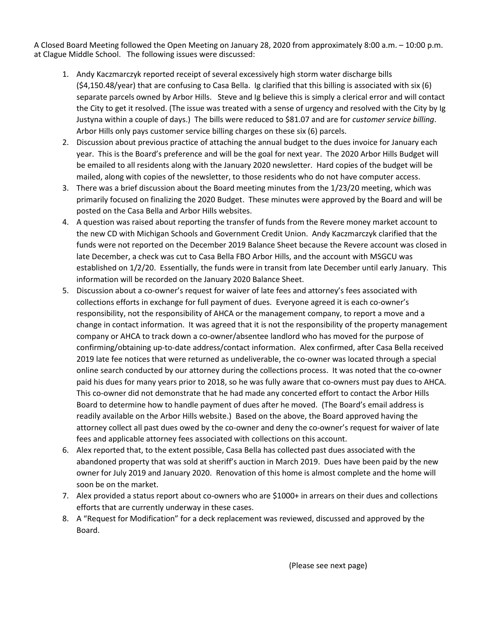A Closed Board Meeting followed the Open Meeting on January 28, 2020 from approximately 8:00 a.m. – 10:00 p.m. at Clague Middle School. The following issues were discussed:

- 1. Andy Kaczmarczyk reported receipt of several excessively high storm water discharge bills (\$4,150.48/year) that are confusing to Casa Bella. Ig clarified that this billing is associated with six (6) separate parcels owned by Arbor Hills. Steve and Ig believe this is simply a clerical error and will contact the City to get it resolved. (The issue was treated with a sense of urgency and resolved with the City by Ig Justyna within a couple of days.) The bills were reduced to \$81.07 and are for *customer service billing*. Arbor Hills only pays customer service billing charges on these six (6) parcels.
- 2. Discussion about previous practice of attaching the annual budget to the dues invoice for January each year. This is the Board's preference and will be the goal for next year. The 2020 Arbor Hills Budget will be emailed to all residents along with the January 2020 newsletter. Hard copies of the budget will be mailed, along with copies of the newsletter, to those residents who do not have computer access.
- 3. There was a brief discussion about the Board meeting minutes from the 1/23/20 meeting, which was primarily focused on finalizing the 2020 Budget. These minutes were approved by the Board and will be posted on the Casa Bella and Arbor Hills websites.
- 4. A question was raised about reporting the transfer of funds from the Revere money market account to the new CD with Michigan Schools and Government Credit Union. Andy Kaczmarczyk clarified that the funds were not reported on the December 2019 Balance Sheet because the Revere account was closed in late December, a check was cut to Casa Bella FBO Arbor Hills, and the account with MSGCU was established on 1/2/20. Essentially, the funds were in transit from late December until early January. This information will be recorded on the January 2020 Balance Sheet.
- 5. Discussion about a co-owner's request for waiver of late fees and attorney's fees associated with collections efforts in exchange for full payment of dues. Everyone agreed it is each co-owner's responsibility, not the responsibility of AHCA or the management company, to report a move and a change in contact information. It was agreed that it is not the responsibility of the property management company or AHCA to track down a co-owner/absentee landlord who has moved for the purpose of confirming/obtaining up-to-date address/contact information. Alex confirmed, after Casa Bella received 2019 late fee notices that were returned as undeliverable, the co-owner was located through a special online search conducted by our attorney during the collections process. It was noted that the co-owner paid his dues for many years prior to 2018, so he was fully aware that co-owners must pay dues to AHCA. This co-owner did not demonstrate that he had made any concerted effort to contact the Arbor Hills Board to determine how to handle payment of dues after he moved. (The Board's email address is readily available on the Arbor Hills website.) Based on the above, the Board approved having the attorney collect all past dues owed by the co-owner and deny the co-owner's request for waiver of late fees and applicable attorney fees associated with collections on this account.
- 6. Alex reported that, to the extent possible, Casa Bella has collected past dues associated with the abandoned property that was sold at sheriff's auction in March 2019. Dues have been paid by the new owner for July 2019 and January 2020. Renovation of this home is almost complete and the home will soon be on the market.
- 7. Alex provided a status report about co-owners who are \$1000+ in arrears on their dues and collections efforts that are currently underway in these cases.
- 8. A "Request for Modification" for a deck replacement was reviewed, discussed and approved by the Board.